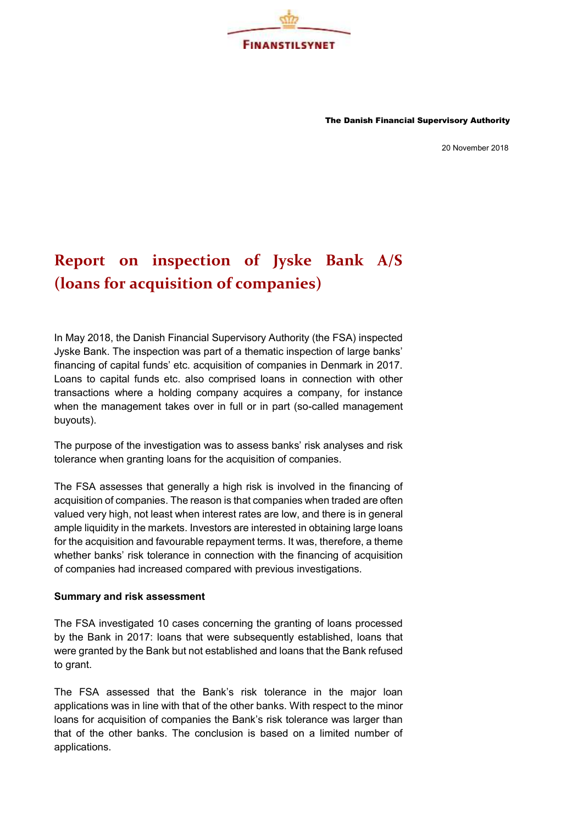

The Danish Financial Supervisory Authority

20 November 2018

## **Report on inspection of Jyske Bank A/S (loans for acquisition of companies)**

In May 2018, the Danish Financial Supervisory Authority (the FSA) inspected Jyske Bank. The inspection was part of a thematic inspection of large banks' financing of capital funds' etc. acquisition of companies in Denmark in 2017. Loans to capital funds etc. also comprised loans in connection with other transactions where a holding company acquires a company, for instance when the management takes over in full or in part (so-called management buyouts).

The purpose of the investigation was to assess banks' risk analyses and risk tolerance when granting loans for the acquisition of companies.

The FSA assesses that generally a high risk is involved in the financing of acquisition of companies. The reason is that companies when traded are often valued very high, not least when interest rates are low, and there is in general ample liquidity in the markets. Investors are interested in obtaining large loans for the acquisition and favourable repayment terms. It was, therefore, a theme whether banks' risk tolerance in connection with the financing of acquisition of companies had increased compared with previous investigations.

## **Summary and risk assessment**

The FSA investigated 10 cases concerning the granting of loans processed by the Bank in 2017: loans that were subsequently established, loans that were granted by the Bank but not established and loans that the Bank refused to grant.

The FSA assessed that the Bank's risk tolerance in the major loan applications was in line with that of the other banks. With respect to the minor loans for acquisition of companies the Bank's risk tolerance was larger than that of the other banks. The conclusion is based on a limited number of applications.